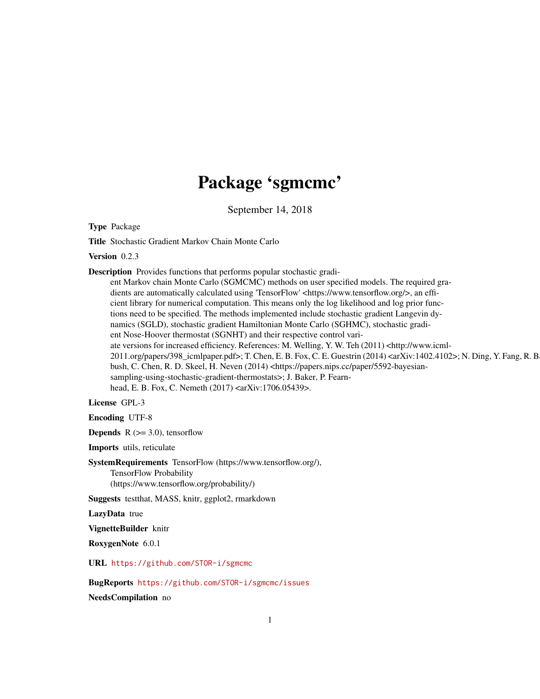# Package 'sgmcmc'

September 14, 2018

Type Package

Title Stochastic Gradient Markov Chain Monte Carlo

Version 0.2.3

Description Provides functions that performs popular stochastic gradi-

ent Markov chain Monte Carlo (SGMCMC) methods on user specified models. The required gradients are automatically calculated using 'TensorFlow' <https://www.tensorflow.org/>, an efficient library for numerical computation. This means only the log likelihood and log prior functions need to be specified. The methods implemented include stochastic gradient Langevin dynamics (SGLD), stochastic gradient Hamiltonian Monte Carlo (SGHMC), stochastic gradient Nose-Hoover thermostat (SGNHT) and their respective control variate versions for increased efficiency. References: M. Welling, Y. W. Teh (2011) <http://www.icml-2011.org/papers/398\_icmlpaper.pdf>; T. Chen, E. B. Fox, C. E. Guestrin (2014) <arXiv:1402.4102>; N. Ding, Y. Fang, R. B bush, C. Chen, R. D. Skeel, H. Neven (2014) <https://papers.nips.cc/paper/5592-bayesiansampling-using-stochastic-gradient-thermostats>; J. Baker, P. Fearnhead, E. B. Fox, C. Nemeth (2017) <arXiv:1706.05439>.

License GPL-3

Encoding UTF-8

**Depends** R  $(>= 3.0)$ , tensorflow

Imports utils, reticulate

SystemRequirements TensorFlow (https://www.tensorflow.org/), TensorFlow Probability (https://www.tensorflow.org/probability/)

Suggests testthat, MASS, knitr, ggplot2, rmarkdown

LazyData true

VignetteBuilder knitr

RoxygenNote 6.0.1

URL <https://github.com/STOR-i/sgmcmc>

BugReports <https://github.com/STOR-i/sgmcmc/issues>

NeedsCompilation no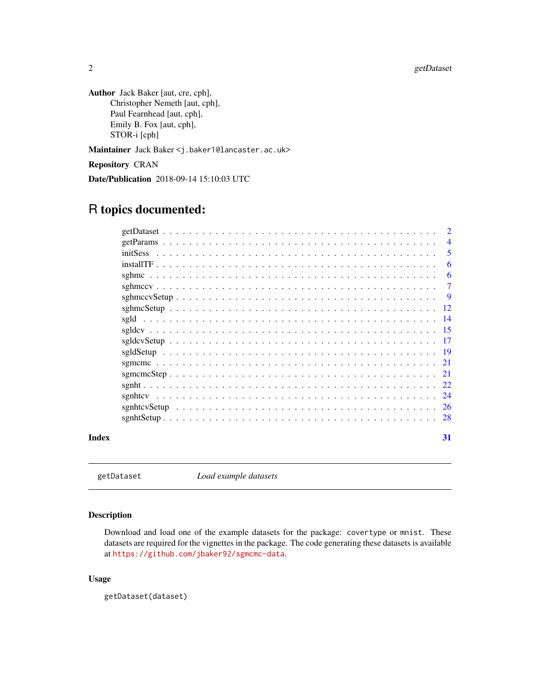<span id="page-1-0"></span>2 getDataset

Author Jack Baker [aut, cre, cph], Christopher Nemeth [aut, cph], Paul Fearnhead [aut, cph], Emily B. Fox [aut, cph], STOR-i [cph]

Maintainer Jack Baker <j.baker1@lancaster.ac.uk>

Repository CRAN

Date/Publication 2018-09-14 15:10:03 UTC

# R topics documented:

|       |                                                                                                                           | $\overline{2}$ |
|-------|---------------------------------------------------------------------------------------------------------------------------|----------------|
|       |                                                                                                                           | $\overline{4}$ |
|       |                                                                                                                           | 5              |
|       |                                                                                                                           | 6              |
|       |                                                                                                                           | 6              |
|       |                                                                                                                           | $\tau$         |
|       |                                                                                                                           | -9             |
|       |                                                                                                                           | -12            |
|       |                                                                                                                           | -14            |
|       |                                                                                                                           | -15            |
|       |                                                                                                                           | -17            |
|       |                                                                                                                           |                |
|       |                                                                                                                           | -21            |
|       |                                                                                                                           |                |
|       |                                                                                                                           |                |
|       |                                                                                                                           | 24             |
|       |                                                                                                                           |                |
|       | $sgnht Setup \dots \dots \dots \dots \dots \dots \dots \dots \dots \dots \dots \dots \dots \dots \dots \dots \dots \dots$ | 28             |
| Index |                                                                                                                           | 31             |

getDataset *Load example datasets*

# Description

Download and load one of the example datasets for the package: covertype or mnist. These datasets are required for the vignettes in the package. The code generating these datasets is available at <https://github.com/jbaker92/sgmcmc-data>.

# Usage

getDataset(dataset)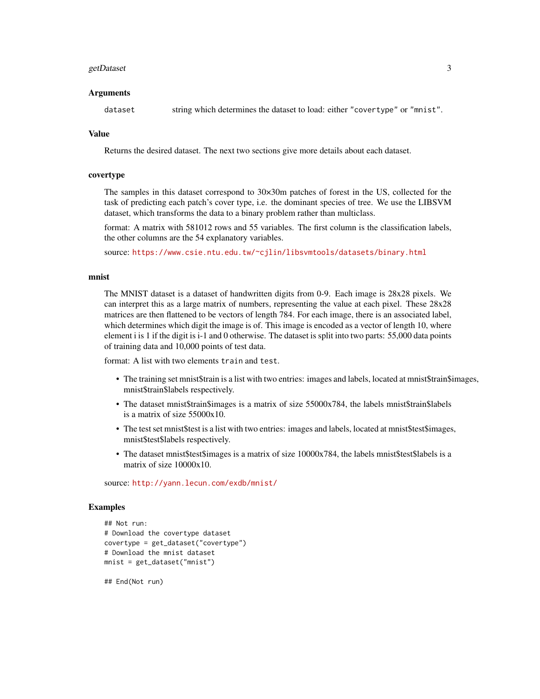#### getDataset 3

#### Arguments

dataset string which determines the dataset to load: either "covertype" or "mnist".

# Value

Returns the desired dataset. The next two sections give more details about each dataset.

# covertype

The samples in this dataset correspond to 30×30m patches of forest in the US, collected for the task of predicting each patch's cover type, i.e. the dominant species of tree. We use the LIBSVM dataset, which transforms the data to a binary problem rather than multiclass.

format: A matrix with 581012 rows and 55 variables. The first column is the classification labels, the other columns are the 54 explanatory variables.

source: <https://www.csie.ntu.edu.tw/~cjlin/libsvmtools/datasets/binary.html>

#### mnist

The MNIST dataset is a dataset of handwritten digits from 0-9. Each image is 28x28 pixels. We can interpret this as a large matrix of numbers, representing the value at each pixel. These 28x28 matrices are then flattened to be vectors of length 784. For each image, there is an associated label, which determines which digit the image is of. This image is encoded as a vector of length 10, where element i is 1 if the digit is i-1 and 0 otherwise. The dataset is split into two parts: 55,000 data points of training data and 10,000 points of test data.

format: A list with two elements train and test.

- The training set mnist\$train is a list with two entries: images and labels, located at mnist\$train\$images, mnist\$train\$labels respectively.
- The dataset mnist\$train\$images is a matrix of size 55000x784, the labels mnist\$train\$labels is a matrix of size 55000x10.
- The test set mnist\$test is a list with two entries: images and labels, located at mnist\$test\$images, mnist\$test\$labels respectively.
- The dataset mnist\$test\$images is a matrix of size 10000x784, the labels mnist\$test\$labels is a matrix of size 10000x10.

source: <http://yann.lecun.com/exdb/mnist/>

#### Examples

```
## Not run:
# Download the covertype dataset
covertype = get_dataset("covertype")
# Download the mnist dataset
mnist = get_dataset("mnist")
```
## End(Not run)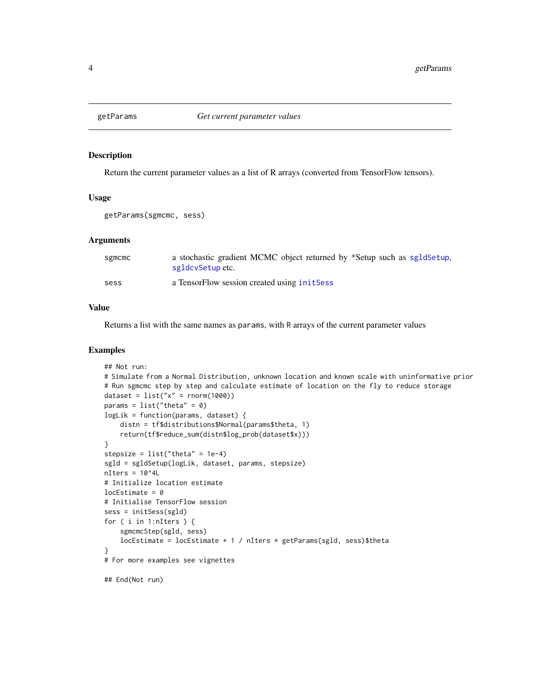<span id="page-3-0"></span>

Return the current parameter values as a list of R arrays (converted from TensorFlow tensors).

#### Usage

```
getParams(sgmcmc, sess)
```
# Arguments

| sgmcmc | a stochastic gradient MCMC object returned by *Setup such as sgldSetup,<br>sgldcySetupetc. |
|--------|--------------------------------------------------------------------------------------------|
| sess   | a TensorFlow session created using initSess                                                |

# Value

Returns a list with the same names as params, with R arrays of the current parameter values

```
## Not run:
# Simulate from a Normal Distribution, unknown location and known scale with uninformative prior
# Run sgmcmc step by step and calculate estimate of location on the fly to reduce storage
dataset = list("x" = rnorm(1000))params = list("theta" = 0)logLik = function(params, dataset) {
    distn = tf$distributions$Normal(params$theta, 1)
    return(tf$reduce_sum(distn$log_prob(dataset$x)))
}
stepsize = list("theta" = 1e-4)sgld = sgldSetup(logLik, dataset, params, stepsize)
nIters = 10^44L# Initialize location estimate
locEstimate = 0# Initialise TensorFlow session
sess = initSess(sgld)
for ( i in 1:nIters ) {
    sgmcmcStep(sgld, sess)
    locEstimate = locEstimate + 1 / nIters * getParams(sgld, sess)$theta
}
# For more examples see vignettes
## End(Not run)
```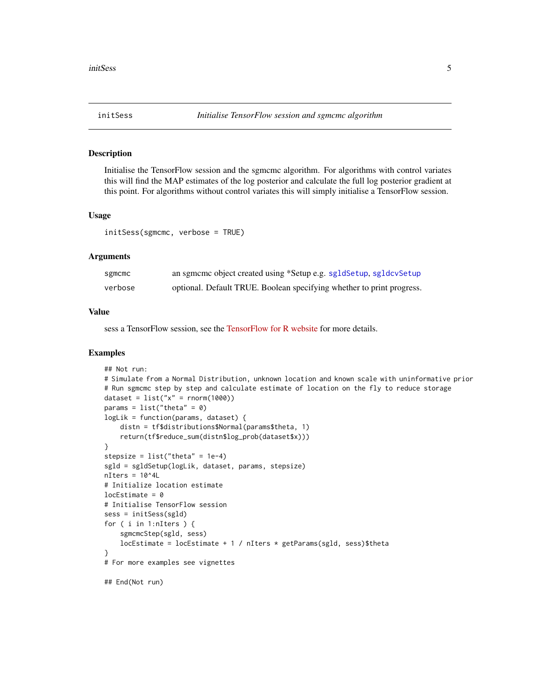<span id="page-4-1"></span><span id="page-4-0"></span>

Initialise the TensorFlow session and the sgmcmc algorithm. For algorithms with control variates this will find the MAP estimates of the log posterior and calculate the full log posterior gradient at this point. For algorithms without control variates this will simply initialise a TensorFlow session.

#### Usage

initSess(sgmcmc, verbose = TRUE)

# Arguments

| sgmcmc  | an sgmcmc object created using *Setup e.g. sgldSetup, sgldcvSetup     |
|---------|-----------------------------------------------------------------------|
| verbose | optional. Default TRUE. Boolean specifying whether to print progress. |

#### Value

sess a TensorFlow session, see the [TensorFlow for R website](https://tensorflow.rstudio.com/) for more details.

```
## Not run:
# Simulate from a Normal Distribution, unknown location and known scale with uninformative prior
# Run sgmcmc step by step and calculate estimate of location on the fly to reduce storage
dataset = list("x" = rnorm(1000))params = list("theta" = 0)logLik = function(params, dataset) {
    distn = tf$distributions$Normal(params$theta, 1)
    return(tf$reduce_sum(distn$log_prob(dataset$x)))
}
stepsize = list("theta" = 1e-4)sgld = sgldSetup(logLik, dataset, params, stepsize)
nIters = 10^44L# Initialize location estimate
locEstimate = 0# Initialise TensorFlow session
sess = initSess(sgld)
for ( i in 1:nIters ) {
    sgmcmcStep(sgld, sess)
   locEstimate = locEstimate + 1 / nIters * getParams(sgld, sess)$theta
}
# For more examples see vignettes
## End(Not run)
```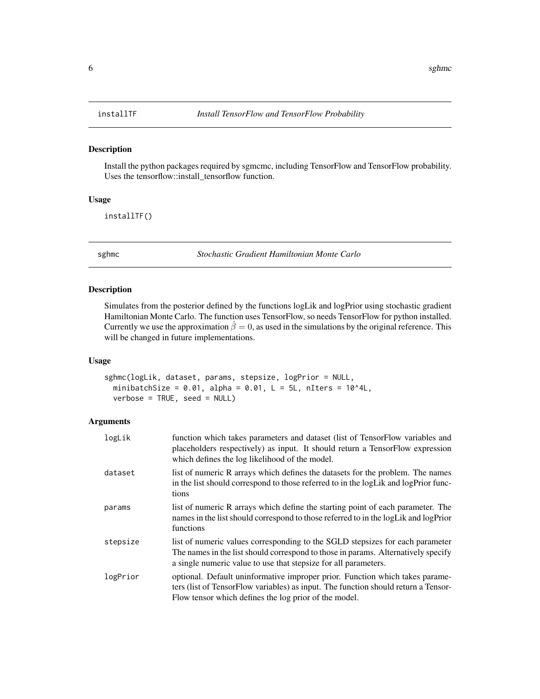<span id="page-5-0"></span>

Install the python packages required by sgmcmc, including TensorFlow and TensorFlow probability. Uses the tensorflow::install\_tensorflow function.

# Usage

installTF()

sghmc *Stochastic Gradient Hamiltonian Monte Carlo*

#### Description

Simulates from the posterior defined by the functions logLik and logPrior using stochastic gradient Hamiltonian Monte Carlo. The function uses TensorFlow, so needs TensorFlow for python installed. Currently we use the approximation  $\hat{\beta} = 0$ , as used in the simulations by the original reference. This will be changed in future implementations.

#### Usage

```
sghmc(logLik, dataset, params, stepsize, logPrior = NULL,
 minibatchSize = 0.01, alpha = 0.01, L = 5L, nIters = 10^44L,
 verbose = TRUE, seed = NULL)
```

| logLik   | function which takes parameters and dataset (list of TensorFlow variables and<br>placeholders respectively) as input. It should return a TensorFlow expression<br>which defines the log likelihood of the model.                      |
|----------|---------------------------------------------------------------------------------------------------------------------------------------------------------------------------------------------------------------------------------------|
| dataset  | list of numeric R arrays which defines the datasets for the problem. The names<br>in the list should correspond to those referred to in the logLik and logPrior func-<br>tions                                                        |
| params   | list of numeric R arrays which define the starting point of each parameter. The<br>names in the list should correspond to those referred to in the logLik and logPrior<br>functions                                                   |
| stepsize | list of numeric values corresponding to the SGLD stepsizes for each parameter<br>The names in the list should correspond to those in params. Alternatively specify<br>a single numeric value to use that stepsize for all parameters. |
| logPrior | optional. Default uninformative improper prior. Function which takes parame-<br>ters (list of TensorFlow variables) as input. The function should return a Tensor-<br>Flow tensor which defines the log prior of the model.           |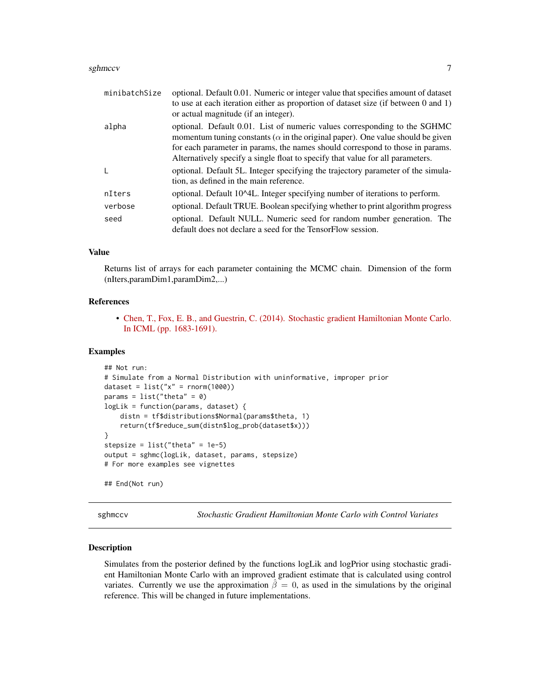#### <span id="page-6-0"></span>sghmccv 7

| minibatchSize | optional. Default 0.01. Numeric or integer value that specifies amount of dataset<br>to use at each iteration either as proportion of dataset size (if between 0 and 1)<br>or actual magnitude (if an integer).                                                                                                                        |
|---------------|----------------------------------------------------------------------------------------------------------------------------------------------------------------------------------------------------------------------------------------------------------------------------------------------------------------------------------------|
| alpha         | optional. Default 0.01. List of numeric values corresponding to the SGHMC<br>momentum tuning constants ( $\alpha$ in the original paper). One value should be given<br>for each parameter in params, the names should correspond to those in params.<br>Alternatively specify a single float to specify that value for all parameters. |
| $\mathbf{I}$  | optional. Default 5L. Integer specifying the trajectory parameter of the simula-<br>tion, as defined in the main reference.                                                                                                                                                                                                            |
| nIters        | optional. Default 10^4L. Integer specifying number of iterations to perform.                                                                                                                                                                                                                                                           |
| verbose       | optional. Default TRUE. Boolean specifying whether to print algorithm progress                                                                                                                                                                                                                                                         |
| seed          | optional. Default NULL. Numeric seed for random number generation. The<br>default does not declare a seed for the TensorFlow session.                                                                                                                                                                                                  |

# Value

Returns list of arrays for each parameter containing the MCMC chain. Dimension of the form (nIters,paramDim1,paramDim2,...)

# References

• [Chen, T., Fox, E. B., and Guestrin, C. \(2014\). Stochastic gradient Hamiltonian Monte Carlo.](https://arxiv.org/pdf/1402.4102v2.pdf) [In ICML \(pp. 1683-1691\).](https://arxiv.org/pdf/1402.4102v2.pdf)

#### Examples

```
## Not run:
# Simulate from a Normal Distribution with uninformative, improper prior
dataset = list("x" = rnorm(1000))params = list("theta" = 0)logLik = function(params, dataset) {
   distn = tf$distributions$Normal(params$theta, 1)
    return(tf$reduce_sum(distn$log_prob(dataset$x)))
}
stepsize = list("theta" = 1e-5)
output = sghmc(logLik, dataset, params, stepsize)
# For more examples see vignettes
## End(Not run)
```
sghmccv *Stochastic Gradient Hamiltonian Monte Carlo with Control Variates*

#### Description

Simulates from the posterior defined by the functions logLik and logPrior using stochastic gradient Hamiltonian Monte Carlo with an improved gradient estimate that is calculated using control variates. Currently we use the approximation  $\hat{\beta} = 0$ , as used in the simulations by the original reference. This will be changed in future implementations.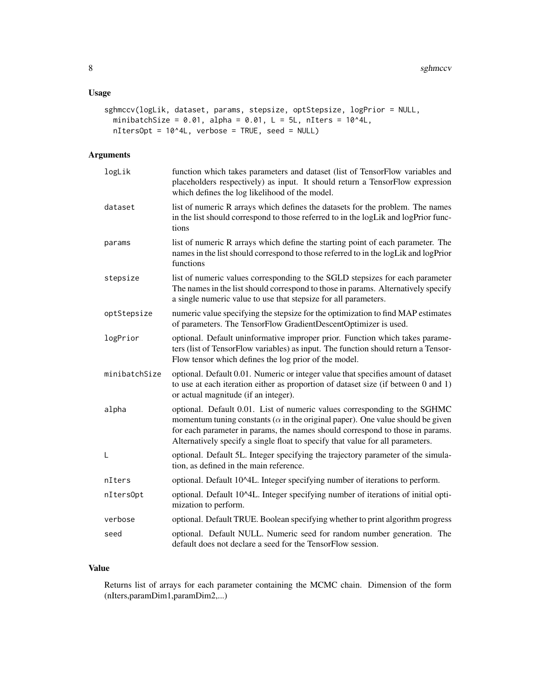# Usage

```
sghmccv(logLik, dataset, params, stepsize, optStepsize, logPrior = NULL,
 minibatchSize = 0.01, alpha = 0.01, L = 5L, nIters = 10^44L,
 nItersOpt = 10^4L, verbose = TRUE, seed = NULL)
```
# Arguments

| logLik        | function which takes parameters and dataset (list of TensorFlow variables and<br>placeholders respectively) as input. It should return a TensorFlow expression<br>which defines the log likelihood of the model.                                                                                                                       |
|---------------|----------------------------------------------------------------------------------------------------------------------------------------------------------------------------------------------------------------------------------------------------------------------------------------------------------------------------------------|
| dataset       | list of numeric R arrays which defines the datasets for the problem. The names<br>in the list should correspond to those referred to in the logLik and logPrior func-<br>tions                                                                                                                                                         |
| params        | list of numeric R arrays which define the starting point of each parameter. The<br>names in the list should correspond to those referred to in the logLik and logPrior<br>functions                                                                                                                                                    |
| stepsize      | list of numeric values corresponding to the SGLD stepsizes for each parameter<br>The names in the list should correspond to those in params. Alternatively specify<br>a single numeric value to use that stepsize for all parameters.                                                                                                  |
| optStepsize   | numeric value specifying the stepsize for the optimization to find MAP estimates<br>of parameters. The TensorFlow GradientDescentOptimizer is used.                                                                                                                                                                                    |
| logPrior      | optional. Default uninformative improper prior. Function which takes parame-<br>ters (list of TensorFlow variables) as input. The function should return a Tensor-<br>Flow tensor which defines the log prior of the model.                                                                                                            |
| minibatchSize | optional. Default 0.01. Numeric or integer value that specifies amount of dataset<br>to use at each iteration either as proportion of dataset size (if between 0 and 1)<br>or actual magnitude (if an integer).                                                                                                                        |
| alpha         | optional. Default 0.01. List of numeric values corresponding to the SGHMC<br>momentum tuning constants ( $\alpha$ in the original paper). One value should be given<br>for each parameter in params, the names should correspond to those in params.<br>Alternatively specify a single float to specify that value for all parameters. |
| L             | optional. Default 5L. Integer specifying the trajectory parameter of the simula-<br>tion, as defined in the main reference.                                                                                                                                                                                                            |
| nIters        | optional. Default 10^4L. Integer specifying number of iterations to perform.                                                                                                                                                                                                                                                           |
| nIters0pt     | optional. Default 10^4L. Integer specifying number of iterations of initial opti-<br>mization to perform.                                                                                                                                                                                                                              |
| verbose       | optional. Default TRUE. Boolean specifying whether to print algorithm progress                                                                                                                                                                                                                                                         |
| seed          | optional. Default NULL. Numeric seed for random number generation. The<br>default does not declare a seed for the TensorFlow session.                                                                                                                                                                                                  |

# Value

Returns list of arrays for each parameter containing the MCMC chain. Dimension of the form (nIters,paramDim1,paramDim2,...)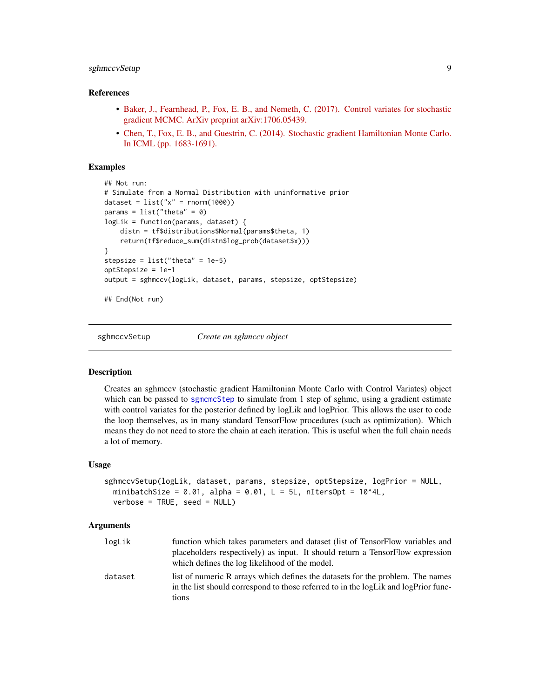# <span id="page-8-0"></span>sghmccvSetup 9

#### References

- [Baker, J., Fearnhead, P., Fox, E. B., and Nemeth, C. \(2017\). Control variates for stochastic](https://arxiv.org/pdf/1706.05439.pdf) [gradient MCMC. ArXiv preprint arXiv:1706.05439.](https://arxiv.org/pdf/1706.05439.pdf)
- [Chen, T., Fox, E. B., and Guestrin, C. \(2014\). Stochastic gradient Hamiltonian Monte Carlo.](https://arxiv.org/pdf/1402.4102v2.pdf) [In ICML \(pp. 1683-1691\).](https://arxiv.org/pdf/1402.4102v2.pdf)

# Examples

```
## Not run:
# Simulate from a Normal Distribution with uninformative prior
dataset = list("x" = rnorm(1000))params = list("theta" = 0)logLik = function(params, dataset) {
   distn = tf$distributions$Normal(params$theta, 1)
    return(tf$reduce_sum(distn$log_prob(dataset$x)))
}
stepsize = list("theta" = 1e-5)
optStepsize = 1e-1
output = sghmccv(logLik, dataset, params, stepsize, optStepsize)
## End(Not run)
```
<span id="page-8-1"></span>

sghmccvSetup *Create an sghmccv object*

# Description

Creates an sghmccv (stochastic gradient Hamiltonian Monte Carlo with Control Variates) object which can be passed to [sgmcmcStep](#page-20-1) to simulate from 1 step of sghmc, using a gradient estimate with control variates for the posterior defined by logLik and logPrior. This allows the user to code the loop themselves, as in many standard TensorFlow procedures (such as optimization). Which means they do not need to store the chain at each iteration. This is useful when the full chain needs a lot of memory.

#### Usage

```
sghmccvSetup(logLik, dataset, params, stepsize, optStepsize, logPrior = NULL,
 minibatchSize = 0.01, alpha = 0.01, L = 5L, nItersOpt = 10^44L,
 verbose = TRUE, seed = NULL)
```

| logLik  | function which takes parameters and dataset (list of TensorFlow variables and<br>placeholders respectively) as input. It should return a TensorFlow expression<br>which defines the log likelihood of the model. |
|---------|------------------------------------------------------------------------------------------------------------------------------------------------------------------------------------------------------------------|
| dataset | list of numeric R arrays which defines the datasets for the problem. The names<br>in the list should correspond to those referred to in the logLik and logPrior func-<br>tions                                   |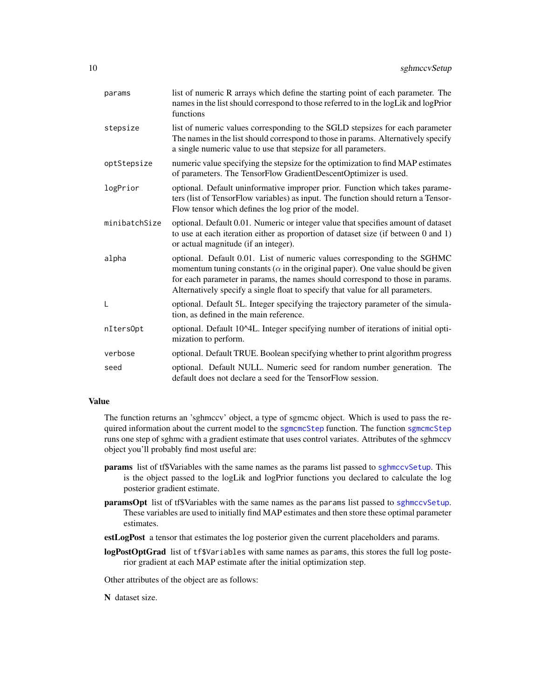<span id="page-9-0"></span>

| params        | list of numeric R arrays which define the starting point of each parameter. The<br>names in the list should correspond to those referred to in the logLik and logPrior<br>functions                                                                                                                                                    |
|---------------|----------------------------------------------------------------------------------------------------------------------------------------------------------------------------------------------------------------------------------------------------------------------------------------------------------------------------------------|
| stepsize      | list of numeric values corresponding to the SGLD stepsizes for each parameter<br>The names in the list should correspond to those in params. Alternatively specify<br>a single numeric value to use that stepsize for all parameters.                                                                                                  |
| optStepsize   | numeric value specifying the stepsize for the optimization to find MAP estimates<br>of parameters. The TensorFlow GradientDescentOptimizer is used.                                                                                                                                                                                    |
| logPrior      | optional. Default uninformative improper prior. Function which takes parame-<br>ters (list of TensorFlow variables) as input. The function should return a Tensor-<br>Flow tensor which defines the log prior of the model.                                                                                                            |
| minibatchSize | optional. Default 0.01. Numeric or integer value that specifies amount of dataset<br>to use at each iteration either as proportion of dataset size (if between 0 and 1)<br>or actual magnitude (if an integer).                                                                                                                        |
| alpha         | optional. Default 0.01. List of numeric values corresponding to the SGHMC<br>momentum tuning constants ( $\alpha$ in the original paper). One value should be given<br>for each parameter in params, the names should correspond to those in params.<br>Alternatively specify a single float to specify that value for all parameters. |
| L             | optional. Default 5L. Integer specifying the trajectory parameter of the simula-<br>tion, as defined in the main reference.                                                                                                                                                                                                            |
| nItersOpt     | optional. Default 10^4L. Integer specifying number of iterations of initial opti-<br>mization to perform.                                                                                                                                                                                                                              |
| verbose       | optional. Default TRUE. Boolean specifying whether to print algorithm progress                                                                                                                                                                                                                                                         |
| seed          | optional. Default NULL. Numeric seed for random number generation. The<br>default does not declare a seed for the TensorFlow session.                                                                                                                                                                                                  |

# Value

The function returns an 'sghmccv' object, a type of sgmcmc object. Which is used to pass the required information about the current model to the [sgmcmcStep](#page-20-1) function. The function sgmcmcStep runs one step of sghmc with a gradient estimate that uses control variates. Attributes of the sghmccv object you'll probably find most useful are:

- params list of tf\$Variables with the same names as the params list passed to [sghmccvSetup](#page-8-1). This is the object passed to the logLik and logPrior functions you declared to calculate the log posterior gradient estimate.
- paramsOpt list of tf\$Variables with the same names as the params list passed to [sghmccvSetup](#page-8-1). These variables are used to initially find MAP estimates and then store these optimal parameter estimates.
- estLogPost a tensor that estimates the log posterior given the current placeholders and params.
- logPostOptGrad list of tf\$Variables with same names as params, this stores the full log posterior gradient at each MAP estimate after the initial optimization step.

Other attributes of the object are as follows:

N dataset size.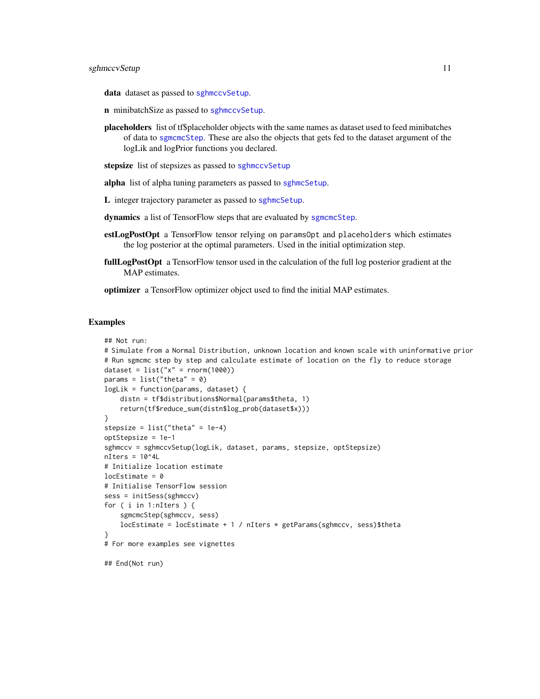<span id="page-10-0"></span>data dataset as passed to [sghmccvSetup](#page-8-1).

- n minibatchSize as passed to [sghmccvSetup](#page-8-1).
- placeholders list of tf\$placeholder objects with the same names as dataset used to feed minibatches of data to [sgmcmcStep](#page-20-1). These are also the objects that gets fed to the dataset argument of the logLik and logPrior functions you declared.
- stepsize list of stepsizes as passed to [sghmccvSetup](#page-8-1)

alpha list of alpha tuning parameters as passed to [sghmcSetup](#page-11-1).

L integer trajectory parameter as passed to [sghmcSetup](#page-11-1).

dynamics a list of TensorFlow steps that are evaluated by [sgmcmcStep](#page-20-1).

- estLogPostOpt a TensorFlow tensor relying on paramsOpt and placeholders which estimates the log posterior at the optimal parameters. Used in the initial optimization step.
- fullLogPostOpt a TensorFlow tensor used in the calculation of the full log posterior gradient at the MAP estimates.

optimizer a TensorFlow optimizer object used to find the initial MAP estimates.

```
## Not run:
# Simulate from a Normal Distribution, unknown location and known scale with uninformative prior
# Run sgmcmc step by step and calculate estimate of location on the fly to reduce storage
dataset = list("x" = rnorm(1000))params = list("theta" = 0)logLik = function(params, dataset) {
    distn = tf$distributions$Normal(params$theta, 1)
   return(tf$reduce_sum(distn$log_prob(dataset$x)))
}
stepsize = list("theta" = 1e-4)
optStepsize = 1e-1
sghmccv = sghmccvSetup(logLik, dataset, params, stepsize, optStepsize)
nIters = 10^4L
# Initialize location estimate
locEstimate = 0# Initialise TensorFlow session
sess = initSess(sghmccv)
for ( i in 1:nIters ) {
    sgmcmcStep(sghmccv, sess)
   locEstimate = locEstimate + 1 / nIters * getParams(sghmccv, sess)$theta
}
# For more examples see vignettes
## End(Not run)
```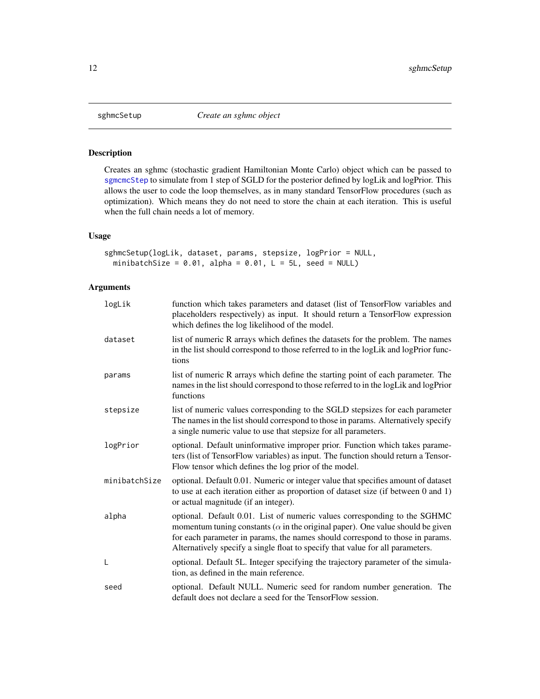<span id="page-11-1"></span><span id="page-11-0"></span>

Creates an sghmc (stochastic gradient Hamiltonian Monte Carlo) object which can be passed to [sgmcmcStep](#page-20-1) to simulate from 1 step of SGLD for the posterior defined by logLik and logPrior. This allows the user to code the loop themselves, as in many standard TensorFlow procedures (such as optimization). Which means they do not need to store the chain at each iteration. This is useful when the full chain needs a lot of memory.

# Usage

```
sghmcSetup(logLik, dataset, params, stepsize, logPrior = NULL,
 minibatchSize = 0.01, alpha = 0.01, L = 5L, seed = NULL)
```

| logLik        | function which takes parameters and dataset (list of TensorFlow variables and<br>placeholders respectively) as input. It should return a TensorFlow expression<br>which defines the log likelihood of the model.                                                                                                                       |
|---------------|----------------------------------------------------------------------------------------------------------------------------------------------------------------------------------------------------------------------------------------------------------------------------------------------------------------------------------------|
| dataset       | list of numeric R arrays which defines the datasets for the problem. The names<br>in the list should correspond to those referred to in the logLik and logPrior func-<br>tions                                                                                                                                                         |
| params        | list of numeric R arrays which define the starting point of each parameter. The<br>names in the list should correspond to those referred to in the logLik and logPrior<br>functions                                                                                                                                                    |
| stepsize      | list of numeric values corresponding to the SGLD stepsizes for each parameter<br>The names in the list should correspond to those in params. Alternatively specify<br>a single numeric value to use that stepsize for all parameters.                                                                                                  |
| logPrior      | optional. Default uninformative improper prior. Function which takes parame-<br>ters (list of TensorFlow variables) as input. The function should return a Tensor-<br>Flow tensor which defines the log prior of the model.                                                                                                            |
| minibatchSize | optional. Default 0.01. Numeric or integer value that specifies amount of dataset<br>to use at each iteration either as proportion of dataset size (if between 0 and 1)<br>or actual magnitude (if an integer).                                                                                                                        |
| alpha         | optional. Default 0.01. List of numeric values corresponding to the SGHMC<br>momentum tuning constants ( $\alpha$ in the original paper). One value should be given<br>for each parameter in params, the names should correspond to those in params.<br>Alternatively specify a single float to specify that value for all parameters. |
| L             | optional. Default 5L. Integer specifying the trajectory parameter of the simula-<br>tion, as defined in the main reference.                                                                                                                                                                                                            |
| seed          | optional. Default NULL. Numeric seed for random number generation. The<br>default does not declare a seed for the TensorFlow session.                                                                                                                                                                                                  |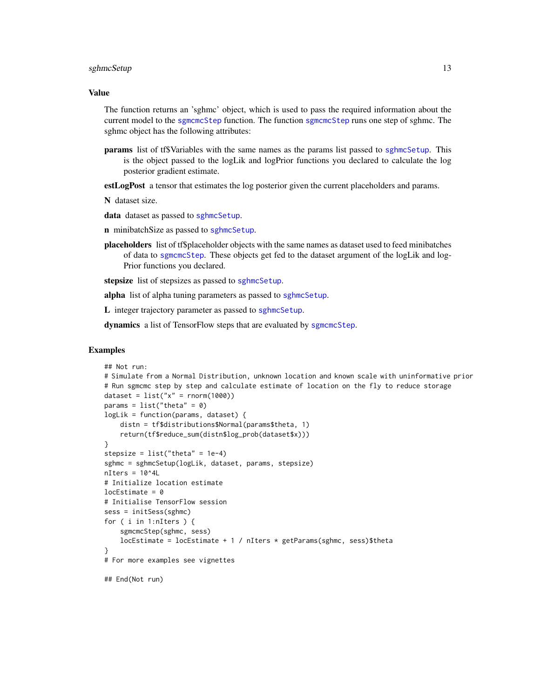#### <span id="page-12-0"></span>sghmcSetup 13

# Value

The function returns an 'sghmc' object, which is used to pass the required information about the current model to the [sgmcmcStep](#page-20-1) function. The function [sgmcmcStep](#page-20-1) runs one step of sghmc. The sghmc object has the following attributes:

params list of tf\$Variables with the same names as the params list passed to [sghmcSetup](#page-11-1). This is the object passed to the logLik and logPrior functions you declared to calculate the log posterior gradient estimate.

estLogPost a tensor that estimates the log posterior given the current placeholders and params.

N dataset size.

data dataset as passed to [sghmcSetup](#page-11-1).

n minibatchSize as passed to [sghmcSetup](#page-11-1).

placeholders list of tf\$placeholder objects with the same names as dataset used to feed minibatches of data to [sgmcmcStep](#page-20-1). These objects get fed to the dataset argument of the logLik and log-Prior functions you declared.

stepsize list of stepsizes as passed to [sghmcSetup](#page-11-1).

alpha list of alpha tuning parameters as passed to [sghmcSetup](#page-11-1).

L integer trajectory parameter as passed to [sghmcSetup](#page-11-1).

dynamics a list of TensorFlow steps that are evaluated by [sgmcmcStep](#page-20-1).

```
## Not run:
# Simulate from a Normal Distribution, unknown location and known scale with uninformative prior
# Run sgmcmc step by step and calculate estimate of location on the fly to reduce storage
dataset = list("x" = rnorm(1000))params = list("theta" = 0)logLik = function(params, dataset) {
    distn = tf$distributions$Normal(params$theta, 1)
    return(tf$reduce_sum(distn$log_prob(dataset$x)))
}
stepsize = list("theta" = 1e-4)sghmc = sghmcSetup(logLik, dataset, params, stepsize)
nIters = 10^44L# Initialize location estimate
locEstimate = 0# Initialise TensorFlow session
sess = initSess(sghmc)
for ( i in 1:nIters ) {
    sgmcmcStep(sghmc, sess)
    locEstimate = locEstimate + 1 / nIters * getParams(sghmc, sess)$theta
}
# For more examples see vignettes
## End(Not run)
```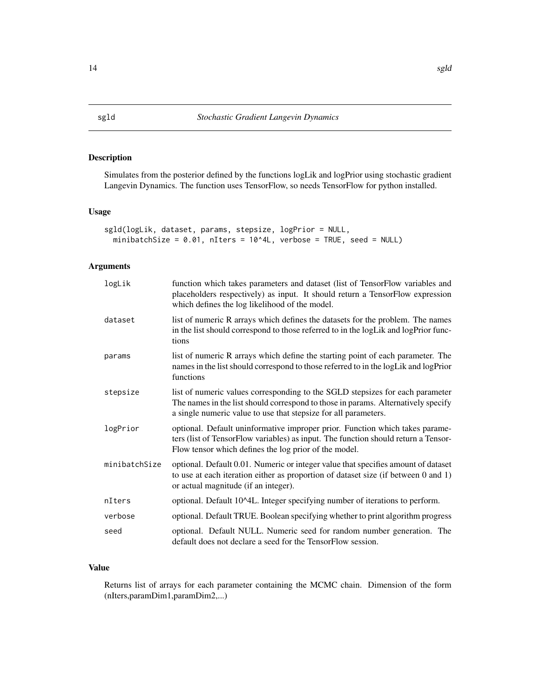<span id="page-13-0"></span>Simulates from the posterior defined by the functions logLik and logPrior using stochastic gradient Langevin Dynamics. The function uses TensorFlow, so needs TensorFlow for python installed.

# Usage

```
sgld(logLik, dataset, params, stepsize, logPrior = NULL,
 minibatchSize = 0.01, nIters = 10^4L, verbose = TRUE, seed = NULL)
```
# Arguments

| logLik        | function which takes parameters and dataset (list of TensorFlow variables and<br>placeholders respectively) as input. It should return a TensorFlow expression<br>which defines the log likelihood of the model.                      |
|---------------|---------------------------------------------------------------------------------------------------------------------------------------------------------------------------------------------------------------------------------------|
| dataset       | list of numeric R arrays which defines the datasets for the problem. The names<br>in the list should correspond to those referred to in the logLik and logPrior func-<br>tions                                                        |
| params        | list of numeric R arrays which define the starting point of each parameter. The<br>names in the list should correspond to those referred to in the logLik and logPrior<br>functions                                                   |
| stepsize      | list of numeric values corresponding to the SGLD stepsizes for each parameter<br>The names in the list should correspond to those in params. Alternatively specify<br>a single numeric value to use that stepsize for all parameters. |
| logPrior      | optional. Default uninformative improper prior. Function which takes parame-<br>ters (list of TensorFlow variables) as input. The function should return a Tensor-<br>Flow tensor which defines the log prior of the model.           |
| minibatchSize | optional. Default 0.01. Numeric or integer value that specifies amount of dataset<br>to use at each iteration either as proportion of dataset size (if between 0 and 1)<br>or actual magnitude (if an integer).                       |
| nIters        | optional. Default 10^4L. Integer specifying number of iterations to perform.                                                                                                                                                          |
| verbose       | optional. Default TRUE. Boolean specifying whether to print algorithm progress                                                                                                                                                        |
| seed          | optional. Default NULL. Numeric seed for random number generation. The<br>default does not declare a seed for the TensorFlow session.                                                                                                 |

# Value

Returns list of arrays for each parameter containing the MCMC chain. Dimension of the form (nIters,paramDim1,paramDim2,...)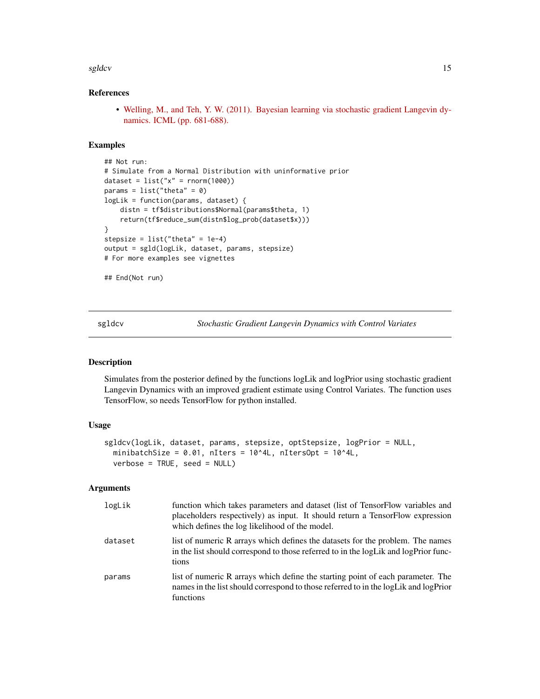#### <span id="page-14-0"></span>sgldcv and the state of the state of the state of the state of the state of the state of the state of the state of the state of the state of the state of the state of the state of the state of the state of the state of the

# References

• [Welling, M., and Teh, Y. W. \(2011\). Bayesian learning via stochastic gradient Langevin dy](http://people.ee.duke.edu/~lcarin/398_icmlpaper.pdf)[namics. ICML \(pp. 681-688\).](http://people.ee.duke.edu/~lcarin/398_icmlpaper.pdf)

# Examples

```
## Not run:
# Simulate from a Normal Distribution with uninformative prior
dataset = list("x" = rnorm(1000))params = list("theta" = 0)logLik = function(params, dataset) {
   distn = tf$distributions$Normal(params$theta, 1)
   return(tf$reduce_sum(distn$log_prob(dataset$x)))
}
stepsize = list("theta" = 1e-4)
output = sgld(logLik, dataset, params, stepsize)
# For more examples see vignettes
## End(Not run)
```
sgldcv *Stochastic Gradient Langevin Dynamics with Control Variates*

# Description

Simulates from the posterior defined by the functions logLik and logPrior using stochastic gradient Langevin Dynamics with an improved gradient estimate using Control Variates. The function uses TensorFlow, so needs TensorFlow for python installed.

# Usage

```
sgldcv(logLik, dataset, params, stepsize, optStepsize, logPrior = NULL,
 minibatchSize = 0.01, nIters = 10^4I, nItersOpt = 10^4I,
  verbose = TRUE, seed = NULL)
```

| logLik  | function which takes parameters and dataset (list of TensorFlow variables and<br>placeholders respectively) as input. It should return a TensorFlow expression<br>which defines the log likelihood of the model. |
|---------|------------------------------------------------------------------------------------------------------------------------------------------------------------------------------------------------------------------|
| dataset | list of numeric R arrays which defines the datasets for the problem. The names<br>in the list should correspond to those referred to in the logLik and logPrior func-<br>tions                                   |
| params  | list of numeric R arrays which define the starting point of each parameter. The<br>names in the list should correspond to those referred to in the logLik and logPrior<br>functions                              |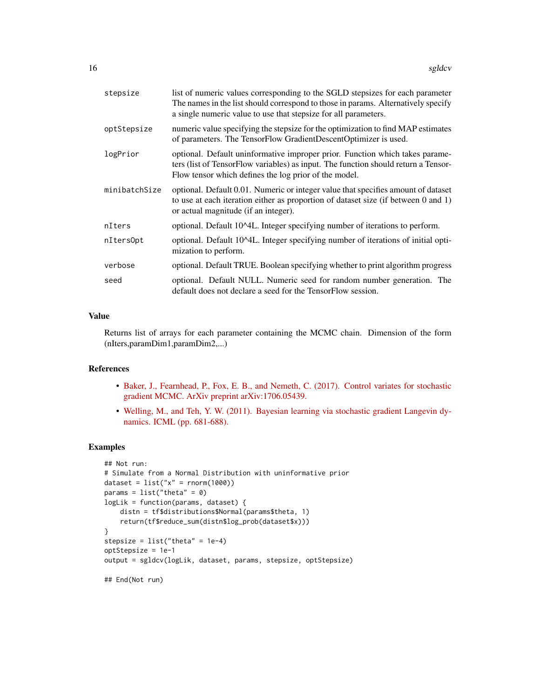| stepsize      | list of numeric values corresponding to the SGLD stepsizes for each parameter<br>The names in the list should correspond to those in params. Alternatively specify<br>a single numeric value to use that stepsize for all parameters. |
|---------------|---------------------------------------------------------------------------------------------------------------------------------------------------------------------------------------------------------------------------------------|
| optStepsize   | numeric value specifying the stepsize for the optimization to find MAP estimates<br>of parameters. The TensorFlow GradientDescentOptimizer is used.                                                                                   |
| logPrior      | optional. Default uninformative improper prior. Function which takes parame-<br>ters (list of TensorFlow variables) as input. The function should return a Tensor-<br>Flow tensor which defines the log prior of the model.           |
| minibatchSize | optional. Default 0.01. Numeric or integer value that specifies amount of dataset<br>to use at each iteration either as proportion of dataset size (if between 0 and 1)<br>or actual magnitude (if an integer).                       |
| nIters        | optional. Default 10^4L. Integer specifying number of iterations to perform.                                                                                                                                                          |
| nIters0pt     | optional. Default 10^4L. Integer specifying number of iterations of initial opti-<br>mization to perform.                                                                                                                             |
| verbose       | optional. Default TRUE. Boolean specifying whether to print algorithm progress                                                                                                                                                        |
| seed          | optional. Default NULL. Numeric seed for random number generation. The<br>default does not declare a seed for the TensorFlow session.                                                                                                 |

# Value

Returns list of arrays for each parameter containing the MCMC chain. Dimension of the form (nIters,paramDim1,paramDim2,...)

# References

- [Baker, J., Fearnhead, P., Fox, E. B., and Nemeth, C. \(2017\). Control variates for stochastic](https://arxiv.org/pdf/1706.05439.pdf) [gradient MCMC. ArXiv preprint arXiv:1706.05439.](https://arxiv.org/pdf/1706.05439.pdf)
- [Welling, M., and Teh, Y. W. \(2011\). Bayesian learning via stochastic gradient Langevin dy](http://people.ee.duke.edu/~lcarin/398_icmlpaper.pdf)[namics. ICML \(pp. 681-688\).](http://people.ee.duke.edu/~lcarin/398_icmlpaper.pdf)

```
## Not run:
# Simulate from a Normal Distribution with uninformative prior
dataset = list("x" = rnorm(1000))params = list("theta" = 0)logLik = function(params, dataset) {
   distn = tf$distributions$Normal(params$theta, 1)
    return(tf$reduce_sum(distn$log_prob(dataset$x)))
}
stepsize = list("theta" = 1e-4)
optStepsize = 1e-1
output = sgldcv(logLik, dataset, params, stepsize, optStepsize)
## End(Not run)
```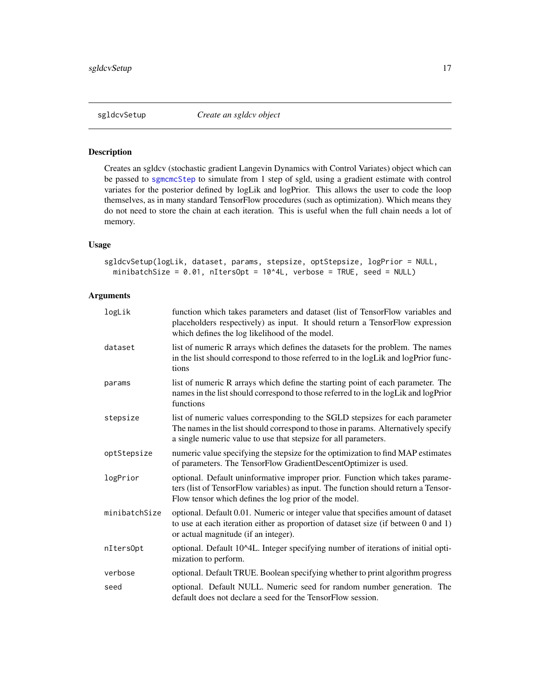<span id="page-16-1"></span><span id="page-16-0"></span>

Creates an sgldcv (stochastic gradient Langevin Dynamics with Control Variates) object which can be passed to [sgmcmcStep](#page-20-1) to simulate from 1 step of sgld, using a gradient estimate with control variates for the posterior defined by logLik and logPrior. This allows the user to code the loop themselves, as in many standard TensorFlow procedures (such as optimization). Which means they do not need to store the chain at each iteration. This is useful when the full chain needs a lot of memory.

## Usage

```
sgldcvSetup(logLik, dataset, params, stepsize, optStepsize, logPrior = NULL,
 minibatchSize = 0.01, nItersOpt = 10^4L, verbose = TRUE, seed = NULL)
```

| logLik        | function which takes parameters and dataset (list of TensorFlow variables and<br>placeholders respectively) as input. It should return a TensorFlow expression<br>which defines the log likelihood of the model.                      |
|---------------|---------------------------------------------------------------------------------------------------------------------------------------------------------------------------------------------------------------------------------------|
| dataset       | list of numeric R arrays which defines the datasets for the problem. The names<br>in the list should correspond to those referred to in the logLik and logPrior func-<br>tions                                                        |
| params        | list of numeric R arrays which define the starting point of each parameter. The<br>names in the list should correspond to those referred to in the logLik and logPrior<br>functions                                                   |
| stepsize      | list of numeric values corresponding to the SGLD stepsizes for each parameter<br>The names in the list should correspond to those in params. Alternatively specify<br>a single numeric value to use that stepsize for all parameters. |
| optStepsize   | numeric value specifying the stepsize for the optimization to find MAP estimates<br>of parameters. The TensorFlow GradientDescentOptimizer is used.                                                                                   |
| logPrior      | optional. Default uninformative improper prior. Function which takes parame-<br>ters (list of TensorFlow variables) as input. The function should return a Tensor-<br>Flow tensor which defines the log prior of the model.           |
| minibatchSize | optional. Default 0.01. Numeric or integer value that specifies amount of dataset<br>to use at each iteration either as proportion of dataset size (if between 0 and 1)<br>or actual magnitude (if an integer).                       |
| nItersOpt     | optional. Default 10^4L. Integer specifying number of iterations of initial opti-<br>mization to perform.                                                                                                                             |
| verbose       | optional. Default TRUE. Boolean specifying whether to print algorithm progress                                                                                                                                                        |
| seed          | optional. Default NULL. Numeric seed for random number generation. The<br>default does not declare a seed for the TensorFlow session.                                                                                                 |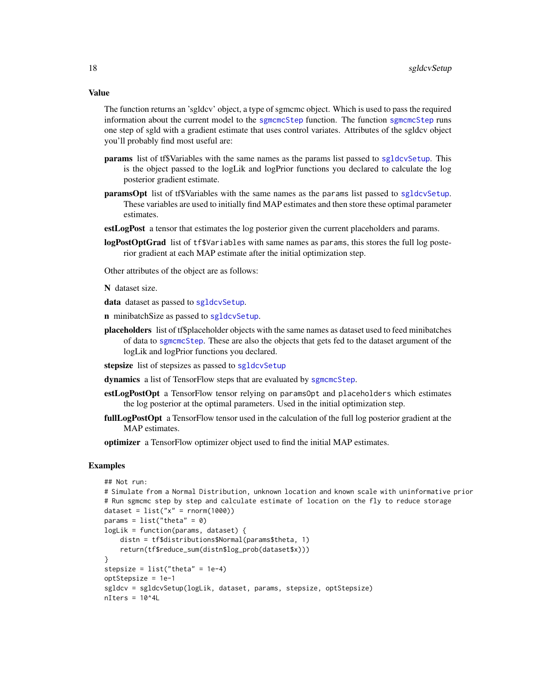<span id="page-17-0"></span>Value

The function returns an 'sgldcv' object, a type of sgmcmc object. Which is used to pass the required information about the current model to the [sgmcmcStep](#page-20-1) function. The function sgmcmcStep runs one step of sgld with a gradient estimate that uses control variates. Attributes of the sgldcv object you'll probably find most useful are:

- params list of tf\$Variables with the same names as the params list passed to [sgldcvSetup](#page-16-1). This is the object passed to the logLik and logPrior functions you declared to calculate the log posterior gradient estimate.
- paramsOpt list of tf\$Variables with the same names as the params list passed to [sgldcvSetup](#page-16-1). These variables are used to initially find MAP estimates and then store these optimal parameter estimates.
- estLogPost a tensor that estimates the log posterior given the current placeholders and params.
- logPostOptGrad list of tf\$Variables with same names as params, this stores the full log posterior gradient at each MAP estimate after the initial optimization step.

Other attributes of the object are as follows:

N dataset size.

data dataset as passed to [sgldcvSetup](#page-16-1).

n minibatchSize as passed to [sgldcvSetup](#page-16-1).

placeholders list of tf\$placeholder objects with the same names as dataset used to feed minibatches of data to [sgmcmcStep](#page-20-1). These are also the objects that gets fed to the dataset argument of the logLik and logPrior functions you declared.

stepsize list of stepsizes as passed to [sgldcvSetup](#page-16-1)

dynamics a list of TensorFlow steps that are evaluated by [sgmcmcStep](#page-20-1).

- estLogPostOpt a TensorFlow tensor relying on paramsOpt and placeholders which estimates the log posterior at the optimal parameters. Used in the initial optimization step.
- fullLogPostOpt a TensorFlow tensor used in the calculation of the full log posterior gradient at the MAP estimates.

optimizer a TensorFlow optimizer object used to find the initial MAP estimates.

```
## Not run:
# Simulate from a Normal Distribution, unknown location and known scale with uninformative prior
# Run sgmcmc step by step and calculate estimate of location on the fly to reduce storage
dataset = list("x" = rnorm(1000))params = list("theta" = 0)logLik = function(params, dataset) {
   distn = tf$distributions$Normal(params$theta, 1)
    return(tf$reduce_sum(distn$log_prob(dataset$x)))
}
stepsize = list("theta" = 1e-4)
optStepsize = 1e-1
sgldcv = sgldcvSetup(logLik, dataset, params, stepsize, optStepsize)
nIters = 10^4L
```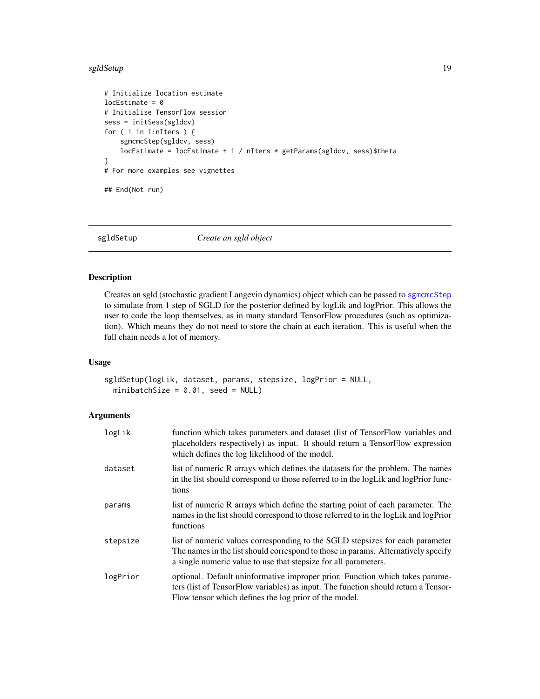#### <span id="page-18-0"></span>sgldSetup 19

```
# Initialize location estimate
locEstimate = 0# Initialise TensorFlow session
sess = initSess(sgldcv)
for ( i in 1:nIters ) {
    sgmcmcStep(sgldcv, sess)
   locEstimate = locEstimate + 1 / nIters * getParams(sgldcv, sess)$theta
}
# For more examples see vignettes
## End(Not run)
```
<span id="page-18-1"></span>sgldSetup *Create an sgld object*

# Description

Creates an sgld (stochastic gradient Langevin dynamics) object which can be passed to [sgmcmcStep](#page-20-1) to simulate from 1 step of SGLD for the posterior defined by logLik and logPrior. This allows the user to code the loop themselves, as in many standard TensorFlow procedures (such as optimization). Which means they do not need to store the chain at each iteration. This is useful when the full chain needs a lot of memory.

# Usage

sgldSetup(logLik, dataset, params, stepsize, logPrior = NULL, minibatchSize =  $0.01$ , seed = NULL)

| logLik   | function which takes parameters and dataset (list of TensorFlow variables and<br>placeholders respectively) as input. It should return a TensorFlow expression<br>which defines the log likelihood of the model.                      |
|----------|---------------------------------------------------------------------------------------------------------------------------------------------------------------------------------------------------------------------------------------|
| dataset  | list of numeric R arrays which defines the datasets for the problem. The names<br>in the list should correspond to those referred to in the logLik and logPrior func-<br>tions                                                        |
| params   | list of numeric R arrays which define the starting point of each parameter. The<br>names in the list should correspond to those referred to in the logLik and logPrior<br>functions                                                   |
| stepsize | list of numeric values corresponding to the SGLD stepsizes for each parameter<br>The names in the list should correspond to those in params. Alternatively specify<br>a single numeric value to use that stepsize for all parameters. |
| logPrior | optional. Default uninformative improper prior. Function which takes parame-<br>ters (list of TensorFlow variables) as input. The function should return a Tensor-<br>Flow tensor which defines the log prior of the model.           |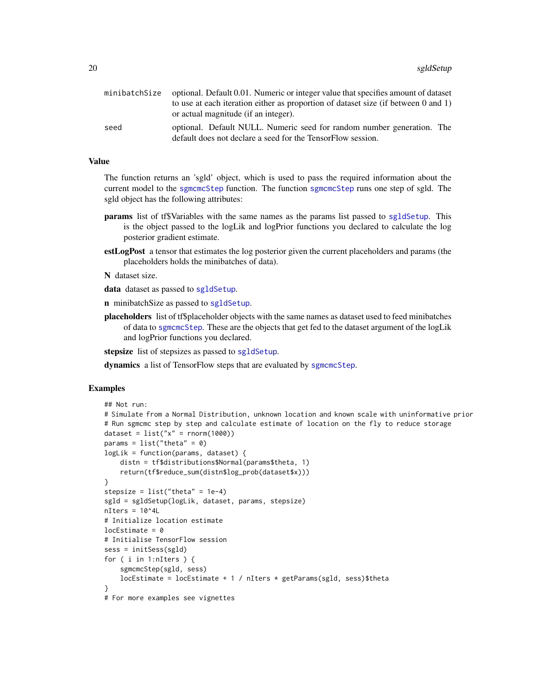<span id="page-19-0"></span>

| minibatchSize | optional. Default 0.01. Numeric or integer value that specifies amount of dataset                                                     |  |
|---------------|---------------------------------------------------------------------------------------------------------------------------------------|--|
|               | to use at each iteration either as proportion of dataset size (if between 0 and 1)                                                    |  |
|               | or actual magnitude (if an integer).                                                                                                  |  |
| seed          | optional. Default NULL. Numeric seed for random number generation. The<br>default does not declare a seed for the TensorFlow session. |  |

# Value

The function returns an 'sgld' object, which is used to pass the required information about the current model to the [sgmcmcStep](#page-20-1) function. The function [sgmcmcStep](#page-20-1) runs one step of sgld. The sgld object has the following attributes:

- params list of tf\$Variables with the same names as the params list passed to [sgldSetup](#page-18-1). This is the object passed to the logLik and logPrior functions you declared to calculate the log posterior gradient estimate.
- estLogPost a tensor that estimates the log posterior given the current placeholders and params (the placeholders holds the minibatches of data).
- N dataset size.
- data dataset as passed to [sgldSetup](#page-18-1).
- n minibatchSize as passed to [sgldSetup](#page-18-1).
- placeholders list of tf\$placeholder objects with the same names as dataset used to feed minibatches of data to [sgmcmcStep](#page-20-1). These are the objects that get fed to the dataset argument of the logLik and logPrior functions you declared.

stepsize list of stepsizes as passed to [sgldSetup](#page-18-1).

dynamics a list of TensorFlow steps that are evaluated by [sgmcmcStep](#page-20-1).

```
## Not run:
# Simulate from a Normal Distribution, unknown location and known scale with uninformative prior
# Run sgmcmc step by step and calculate estimate of location on the fly to reduce storage
dataset = list("x" = rnorm(1000))params = list("theta" = 0)logLik = function(params, dataset) {
    distn = tf$distributions$Normal(params$theta, 1)
    return(tf$reduce_sum(distn$log_prob(dataset$x)))
}
stepsize = list("theta" = 1e-4)sgld = sgldSetup(logLik, dataset, params, stepsize)
nIters = 10^44L# Initialize location estimate
locEstimate = 0# Initialise TensorFlow session
sess = initSess(sgld)
for ( i in 1:nIters ) {
    sgmcmcStep(sgld, sess)
    locEstimate = locEstimate + 1 / nIters * getParams(sgld, sess)$theta
}
# For more examples see vignettes
```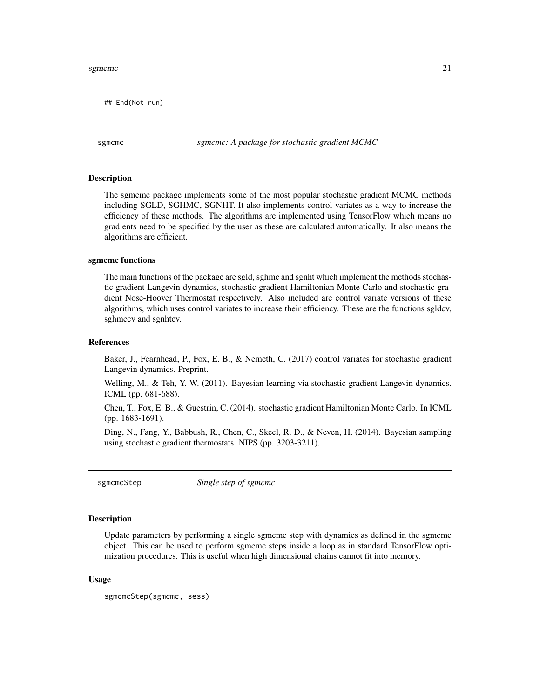#### <span id="page-20-0"></span>sgmcmc  $\sim$  21

## End(Not run)

sgmcmc *sgmcmc: A package for stochastic gradient MCMC*

#### Description

The sgmcmc package implements some of the most popular stochastic gradient MCMC methods including SGLD, SGHMC, SGNHT. It also implements control variates as a way to increase the efficiency of these methods. The algorithms are implemented using TensorFlow which means no gradients need to be specified by the user as these are calculated automatically. It also means the algorithms are efficient.

#### sgmcmc functions

The main functions of the package are sgld, sghmc and sgnht which implement the methods stochastic gradient Langevin dynamics, stochastic gradient Hamiltonian Monte Carlo and stochastic gradient Nose-Hoover Thermostat respectively. Also included are control variate versions of these algorithms, which uses control variates to increase their efficiency. These are the functions sgldcv, sghmccv and sgnhtcv.

# References

Baker, J., Fearnhead, P., Fox, E. B., & Nemeth, C. (2017) control variates for stochastic gradient Langevin dynamics. Preprint.

Welling, M., & Teh, Y. W. (2011). Bayesian learning via stochastic gradient Langevin dynamics. ICML (pp. 681-688).

Chen, T., Fox, E. B., & Guestrin, C. (2014). stochastic gradient Hamiltonian Monte Carlo. In ICML (pp. 1683-1691).

Ding, N., Fang, Y., Babbush, R., Chen, C., Skeel, R. D., & Neven, H. (2014). Bayesian sampling using stochastic gradient thermostats. NIPS (pp. 3203-3211).

<span id="page-20-1"></span>sgmcmcStep *Single step of sgmcmc*

#### Description

Update parameters by performing a single sgmcmc step with dynamics as defined in the sgmcmc object. This can be used to perform sgmcmc steps inside a loop as in standard TensorFlow optimization procedures. This is useful when high dimensional chains cannot fit into memory.

#### Usage

sgmcmcStep(sgmcmc, sess)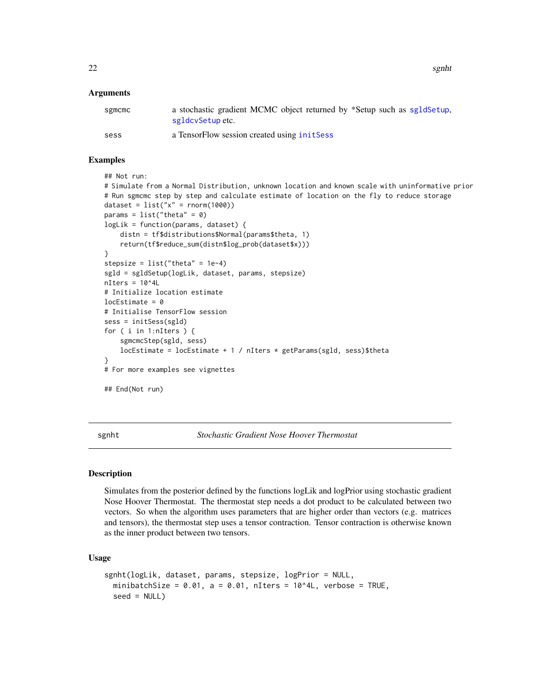<span id="page-21-0"></span>22 sgnht

# Arguments

| sgmcmc | a stochastic gradient MCMC object returned by *Setup such as sgldSetup.<br>sgldcvSetup etc. |
|--------|---------------------------------------------------------------------------------------------|
| sess   | a TensorFlow session created using initSess                                                 |

# Examples

```
## Not run:
# Simulate from a Normal Distribution, unknown location and known scale with uninformative prior
# Run sgmcmc step by step and calculate estimate of location on the fly to reduce storage
dataset = list("x" = rnorm(1000))params = list("theta" = 0)logLik = function(params, dataset) {
   distn = tf$distributions$Normal(params$theta, 1)
   return(tf$reduce_sum(distn$log_prob(dataset$x)))
}
stepsize = list("theta" = 1e-4)sgld = sgldSetup(logLik, dataset, params, stepsize)
nIters = 10^44L# Initialize location estimate
locEstimate = 0# Initialise TensorFlow session
sess = initSess(sgld)
for ( i in 1:nIters ) {
    sgmcmcStep(sgld, sess)
   locEstimate = locEstimate + 1 / nIters * getParams(sgld, sess)$theta
}
# For more examples see vignettes
## End(Not run)
```
sgnht *Stochastic Gradient Nose Hoover Thermostat*

# Description

Simulates from the posterior defined by the functions logLik and logPrior using stochastic gradient Nose Hoover Thermostat. The thermostat step needs a dot product to be calculated between two vectors. So when the algorithm uses parameters that are higher order than vectors (e.g. matrices and tensors), the thermostat step uses a tensor contraction. Tensor contraction is otherwise known as the inner product between two tensors.

# Usage

```
sgnht(logLik, dataset, params, stepsize, logPrior = NULL,
 minibatchSize = 0.01, a = 0.01, nIters = 10^4L, verbose = TRUE,
  seed = NULL)
```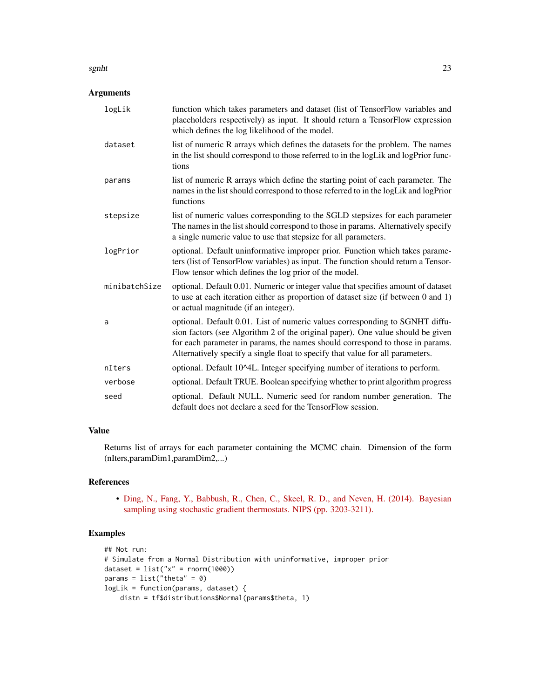#### sgnht 23

# Arguments

| logLik        | function which takes parameters and dataset (list of TensorFlow variables and<br>placeholders respectively) as input. It should return a TensorFlow expression<br>which defines the log likelihood of the model.                                                                                                                   |
|---------------|------------------------------------------------------------------------------------------------------------------------------------------------------------------------------------------------------------------------------------------------------------------------------------------------------------------------------------|
| dataset       | list of numeric R arrays which defines the datasets for the problem. The names<br>in the list should correspond to those referred to in the logLik and logPrior func-<br>tions                                                                                                                                                     |
| params        | list of numeric R arrays which define the starting point of each parameter. The<br>names in the list should correspond to those referred to in the logLik and logPrior<br>functions                                                                                                                                                |
| stepsize      | list of numeric values corresponding to the SGLD stepsizes for each parameter<br>The names in the list should correspond to those in params. Alternatively specify<br>a single numeric value to use that stepsize for all parameters.                                                                                              |
| logPrior      | optional. Default uninformative improper prior. Function which takes parame-<br>ters (list of TensorFlow variables) as input. The function should return a Tensor-<br>Flow tensor which defines the log prior of the model.                                                                                                        |
| minibatchSize | optional. Default 0.01. Numeric or integer value that specifies amount of dataset<br>to use at each iteration either as proportion of dataset size (if between 0 and 1)<br>or actual magnitude (if an integer).                                                                                                                    |
| a             | optional. Default 0.01. List of numeric values corresponding to SGNHT diffu-<br>sion factors (see Algorithm 2 of the original paper). One value should be given<br>for each parameter in params, the names should correspond to those in params.<br>Alternatively specify a single float to specify that value for all parameters. |
| nIters        | optional. Default 10^4L. Integer specifying number of iterations to perform.                                                                                                                                                                                                                                                       |
| verbose       | optional. Default TRUE. Boolean specifying whether to print algorithm progress                                                                                                                                                                                                                                                     |
| seed          | optional. Default NULL. Numeric seed for random number generation. The<br>default does not declare a seed for the TensorFlow session.                                                                                                                                                                                              |

# Value

Returns list of arrays for each parameter containing the MCMC chain. Dimension of the form (nIters,paramDim1,paramDim2,...)

# References

• [Ding, N., Fang, Y., Babbush, R., Chen, C., Skeel, R. D., and Neven, H. \(2014\). Bayesian](http://people.ee.duke.edu/~lcarin/sgnht-4.pdf) [sampling using stochastic gradient thermostats. NIPS \(pp. 3203-3211\).](http://people.ee.duke.edu/~lcarin/sgnht-4.pdf)

```
## Not run:
# Simulate from a Normal Distribution with uninformative, improper prior
dataset = list("x" = rnorm(1000))params = list("theta" = 0)logLik = function(params, dataset) {
   distn = tf$distributions$Normal(params$theta, 1)
```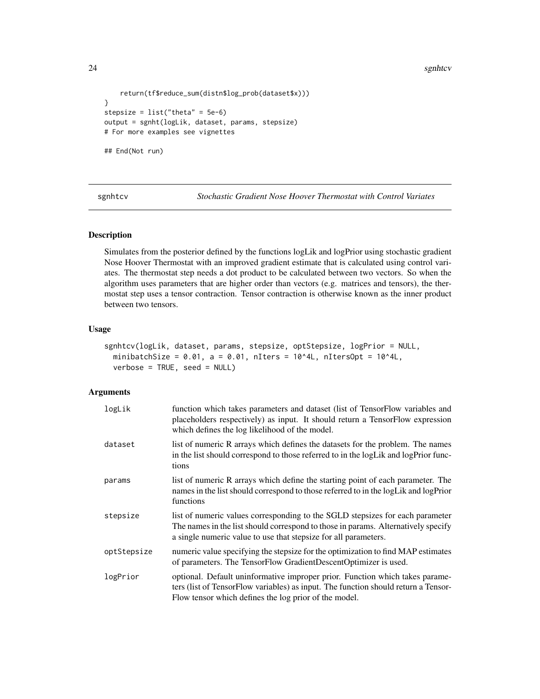24 sgnhtcv

```
return(tf$reduce_sum(distn$log_prob(dataset$x)))
}
stepsize = list("theta" = 5e-6)
output = sgnht(logLik, dataset, params, stepsize)
# For more examples see vignettes
## End(Not run)
```
sgnhtcv *Stochastic Gradient Nose Hoover Thermostat with Control Variates*

#### Description

Simulates from the posterior defined by the functions logLik and logPrior using stochastic gradient Nose Hoover Thermostat with an improved gradient estimate that is calculated using control variates. The thermostat step needs a dot product to be calculated between two vectors. So when the algorithm uses parameters that are higher order than vectors (e.g. matrices and tensors), the thermostat step uses a tensor contraction. Tensor contraction is otherwise known as the inner product between two tensors.

# Usage

```
sgnhtcv(logLik, dataset, params, stepsize, optStepsize, logPrior = NULL,
 minibatchSize = 0.01, a = 0.01, nIters = 10^4L, nItersOpt = 10^4L,
 verbose = TRUE, seed = NULL)
```

| logLik      | function which takes parameters and dataset (list of TensorFlow variables and<br>placeholders respectively) as input. It should return a TensorFlow expression<br>which defines the log likelihood of the model.                      |
|-------------|---------------------------------------------------------------------------------------------------------------------------------------------------------------------------------------------------------------------------------------|
| dataset     | list of numeric R arrays which defines the datasets for the problem. The names<br>in the list should correspond to those referred to in the logLik and logPrior func-<br>tions                                                        |
| params      | list of numeric R arrays which define the starting point of each parameter. The<br>names in the list should correspond to those referred to in the logLik and logPrior<br>functions                                                   |
| stepsize    | list of numeric values corresponding to the SGLD stepsizes for each parameter<br>The names in the list should correspond to those in params. Alternatively specify<br>a single numeric value to use that stepsize for all parameters. |
| optStepsize | numeric value specifying the stepsize for the optimization to find MAP estimates<br>of parameters. The TensorFlow GradientDescentOptimizer is used.                                                                                   |
| logPrior    | optional. Default uninformative improper prior. Function which takes parame-<br>ters (list of TensorFlow variables) as input. The function should return a Tensor-<br>Flow tensor which defines the log prior of the model.           |

<span id="page-23-0"></span>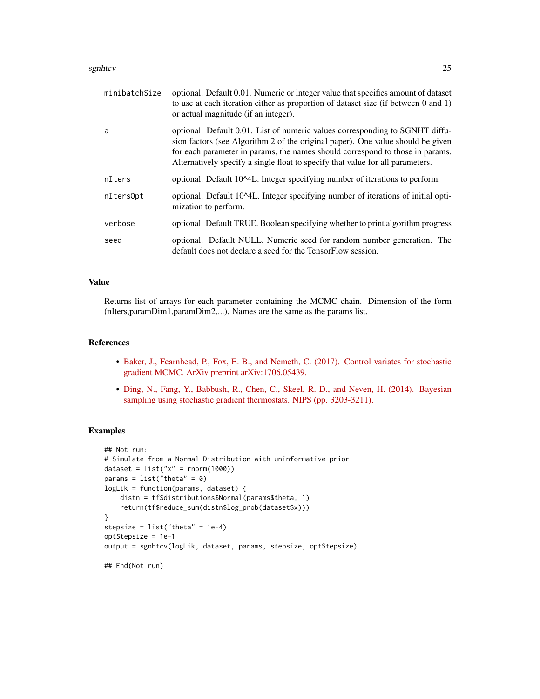#### sgnhtcv 25

| minibatchSize | optional. Default 0.01. Numeric or integer value that specifies amount of dataset<br>to use at each iteration either as proportion of dataset size (if between 0 and 1)<br>or actual magnitude (if an integer).                                                                                                                    |
|---------------|------------------------------------------------------------------------------------------------------------------------------------------------------------------------------------------------------------------------------------------------------------------------------------------------------------------------------------|
| a             | optional. Default 0.01. List of numeric values corresponding to SGNHT diffu-<br>sion factors (see Algorithm 2 of the original paper). One value should be given<br>for each parameter in params, the names should correspond to those in params.<br>Alternatively specify a single float to specify that value for all parameters. |
| nIters        | optional. Default 10^4L. Integer specifying number of iterations to perform.                                                                                                                                                                                                                                                       |
| nIters0pt     | optional. Default 10^4L. Integer specifying number of iterations of initial opti-<br>mization to perform.                                                                                                                                                                                                                          |
| verbose       | optional. Default TRUE. Boolean specifying whether to print algorithm progress                                                                                                                                                                                                                                                     |
| seed          | optional. Default NULL. Numeric seed for random number generation. The<br>default does not declare a seed for the TensorFlow session.                                                                                                                                                                                              |

# Value

Returns list of arrays for each parameter containing the MCMC chain. Dimension of the form (nIters,paramDim1,paramDim2,...). Names are the same as the params list.

### References

- [Baker, J., Fearnhead, P., Fox, E. B., and Nemeth, C. \(2017\). Control variates for stochastic](https://arxiv.org/pdf/1706.05439.pdf) [gradient MCMC. ArXiv preprint arXiv:1706.05439.](https://arxiv.org/pdf/1706.05439.pdf)
- [Ding, N., Fang, Y., Babbush, R., Chen, C., Skeel, R. D., and Neven, H. \(2014\). Bayesian](http://people.ee.duke.edu/~lcarin/sgnht-4.pdf) [sampling using stochastic gradient thermostats. NIPS \(pp. 3203-3211\).](http://people.ee.duke.edu/~lcarin/sgnht-4.pdf)

```
## Not run:
# Simulate from a Normal Distribution with uninformative prior
dataset = list("x" = rnorm(1000))params = list("theta" = 0)logLik = function(params, dataset) {
    distn = tf$distributions$Normal(params$theta, 1)
    return(tf$reduce_sum(distn$log_prob(dataset$x)))
}
stepsize = list("theta" = 1e-4)
optStepsize = 1e-1
output = sgnhtcv(logLik, dataset, params, stepsize, optStepsize)
## End(Not run)
```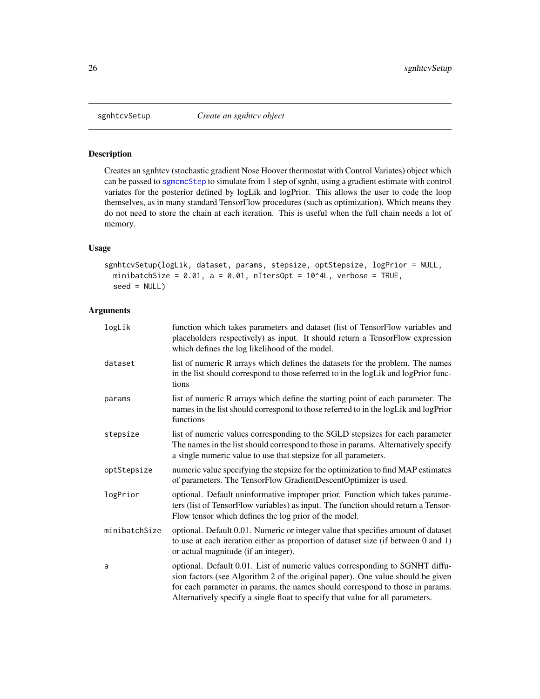<span id="page-25-1"></span><span id="page-25-0"></span>

Creates an sgnhtcv (stochastic gradient Nose Hoover thermostat with Control Variates) object which can be passed to [sgmcmcStep](#page-20-1) to simulate from 1 step of sgnht, using a gradient estimate with control variates for the posterior defined by logLik and logPrior. This allows the user to code the loop themselves, as in many standard TensorFlow procedures (such as optimization). Which means they do not need to store the chain at each iteration. This is useful when the full chain needs a lot of memory.

# Usage

```
sgnhtcvSetup(logLik, dataset, params, stepsize, optStepsize, logPrior = NULL,
 minibatchSize = 0.01, a = 0.01, nItersOpt = 10^4L, verbose = TRUE,
  seed = NULL)
```

| logLik        | function which takes parameters and dataset (list of TensorFlow variables and<br>placeholders respectively) as input. It should return a TensorFlow expression<br>which defines the log likelihood of the model.                                                                                                                   |
|---------------|------------------------------------------------------------------------------------------------------------------------------------------------------------------------------------------------------------------------------------------------------------------------------------------------------------------------------------|
| dataset       | list of numeric R arrays which defines the datasets for the problem. The names<br>in the list should correspond to those referred to in the logLik and logPrior func-<br>tions                                                                                                                                                     |
| params        | list of numeric R arrays which define the starting point of each parameter. The<br>names in the list should correspond to those referred to in the logLik and logPrior<br>functions                                                                                                                                                |
| stepsize      | list of numeric values corresponding to the SGLD stepsizes for each parameter<br>The names in the list should correspond to those in params. Alternatively specify<br>a single numeric value to use that stepsize for all parameters.                                                                                              |
| optStepsize   | numeric value specifying the stepsize for the optimization to find MAP estimates<br>of parameters. The TensorFlow GradientDescentOptimizer is used.                                                                                                                                                                                |
| logPrior      | optional. Default uninformative improper prior. Function which takes parame-<br>ters (list of TensorFlow variables) as input. The function should return a Tensor-<br>Flow tensor which defines the log prior of the model.                                                                                                        |
| minibatchSize | optional. Default 0.01. Numeric or integer value that specifies amount of dataset<br>to use at each iteration either as proportion of dataset size (if between 0 and 1)<br>or actual magnitude (if an integer).                                                                                                                    |
| a             | optional. Default 0.01. List of numeric values corresponding to SGNHT diffu-<br>sion factors (see Algorithm 2 of the original paper). One value should be given<br>for each parameter in params, the names should correspond to those in params.<br>Alternatively specify a single float to specify that value for all parameters. |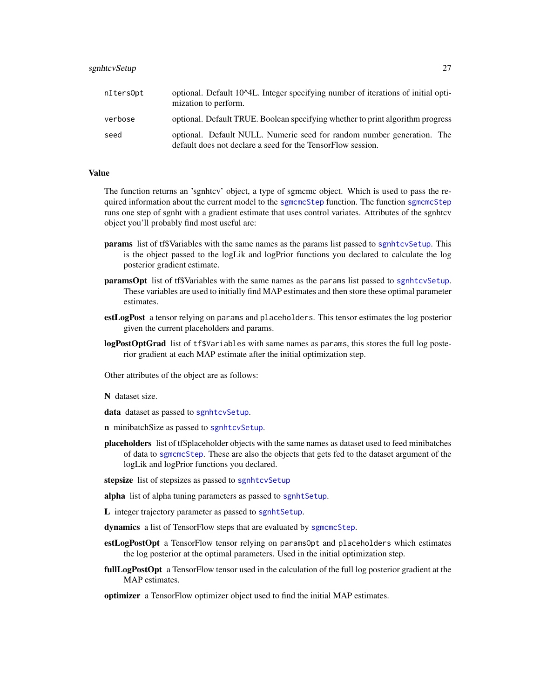<span id="page-26-0"></span>

| nItersOpt | optional. Default 10^4L. Integer specifying number of iterations of initial opti-<br>mization to perform.                             |
|-----------|---------------------------------------------------------------------------------------------------------------------------------------|
| verbose   | optional. Default TRUE. Boolean specifying whether to print algorithm progress                                                        |
| seed      | optional. Default NULL. Numeric seed for random number generation. The<br>default does not declare a seed for the TensorFlow session. |

#### Value

The function returns an 'sgnhtcv' object, a type of sgmcmc object. Which is used to pass the required information about the current model to the [sgmcmcStep](#page-20-1) function. The function [sgmcmcStep](#page-20-1) runs one step of sgnht with a gradient estimate that uses control variates. Attributes of the sgnhtcv object you'll probably find most useful are:

- **params** list of tf\$Variables with the same names as the params list passed to [sgnhtcvSetup](#page-25-1). This is the object passed to the logLik and logPrior functions you declared to calculate the log posterior gradient estimate.
- paramsOpt list of tf\$Variables with the same names as the params list passed to [sgnhtcvSetup](#page-25-1). These variables are used to initially find MAP estimates and then store these optimal parameter estimates.
- estLogPost a tensor relying on params and placeholders. This tensor estimates the log posterior given the current placeholders and params.
- logPostOptGrad list of tf\$Variables with same names as params, this stores the full log posterior gradient at each MAP estimate after the initial optimization step.

Other attributes of the object are as follows:

N dataset size.

data dataset as passed to [sgnhtcvSetup](#page-25-1).

- n minibatchSize as passed to [sgnhtcvSetup](#page-25-1).
- placeholders list of tf\$placeholder objects with the same names as dataset used to feed minibatches of data to [sgmcmcStep](#page-20-1). These are also the objects that gets fed to the dataset argument of the logLik and logPrior functions you declared.

stepsize list of stepsizes as passed to [sgnhtcvSetup](#page-25-1)

alpha list of alpha tuning parameters as passed to [sgnhtSetup](#page-27-1).

L integer trajectory parameter as passed to [sgnhtSetup](#page-27-1).

dynamics a list of TensorFlow steps that are evaluated by [sgmcmcStep](#page-20-1).

- estLogPostOpt a TensorFlow tensor relying on paramsOpt and placeholders which estimates the log posterior at the optimal parameters. Used in the initial optimization step.
- fullLogPostOpt a TensorFlow tensor used in the calculation of the full log posterior gradient at the MAP estimates.

optimizer a TensorFlow optimizer object used to find the initial MAP estimates.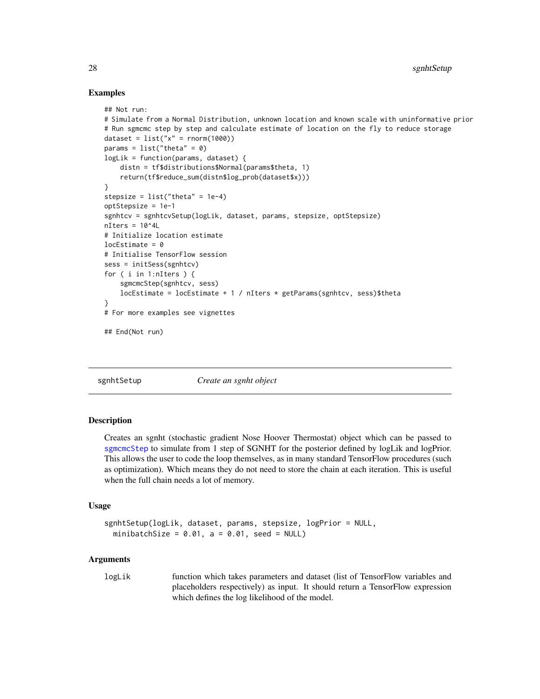# Examples

```
## Not run:
# Simulate from a Normal Distribution, unknown location and known scale with uninformative prior
# Run sgmcmc step by step and calculate estimate of location on the fly to reduce storage
dataset = list("x" = rnorm(1000))params = list("theta" = 0)logLik = function(params, dataset) {
    distn = tf$distributions$Normal(params$theta, 1)
    return(tf$reduce_sum(distn$log_prob(dataset$x)))
}
stepsize = list("theta" = 1e-4)
optStepsize = 1e-1
sgnhtcv = sgnhtcvSetup(logLik, dataset, params, stepsize, optStepsize)
nIters = 10^44L# Initialize location estimate
locEstimate = 0# Initialise TensorFlow session
sess = initSess(sgnhtcv)
for ( i in 1:nIters ) {
    sgmcmcStep(sgnhtcv, sess)
    locEstimate = locEstimate + 1 / nIters * getParams(sgnhtcv, sess)$theta
}
# For more examples see vignettes
## End(Not run)
```
<span id="page-27-1"></span>

sgnhtSetup *Create an sgnht object*

# Description

Creates an sgnht (stochastic gradient Nose Hoover Thermostat) object which can be passed to [sgmcmcStep](#page-20-1) to simulate from 1 step of SGNHT for the posterior defined by logLik and logPrior. This allows the user to code the loop themselves, as in many standard TensorFlow procedures (such as optimization). Which means they do not need to store the chain at each iteration. This is useful when the full chain needs a lot of memory.

# Usage

```
sgnhtSetup(logLik, dataset, params, stepsize, logPrior = NULL,
 minibatchSize = 0.01, a = 0.01, seed = NULL)
```
# Arguments

logLik function which takes parameters and dataset (list of TensorFlow variables and placeholders respectively) as input. It should return a TensorFlow expression which defines the log likelihood of the model.

<span id="page-27-0"></span>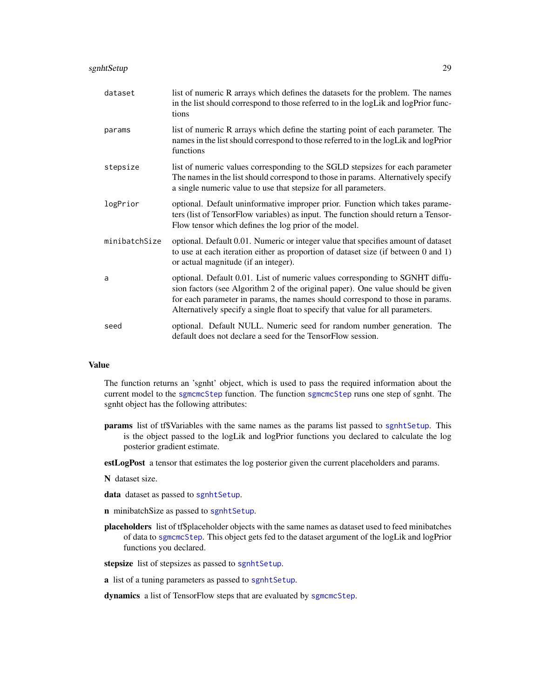# <span id="page-28-0"></span>sgnhtSetup 29

| dataset       | list of numeric R arrays which defines the datasets for the problem. The names<br>in the list should correspond to those referred to in the logLik and logPrior func-<br>tions                                                                                                                                                     |
|---------------|------------------------------------------------------------------------------------------------------------------------------------------------------------------------------------------------------------------------------------------------------------------------------------------------------------------------------------|
| params        | list of numeric R arrays which define the starting point of each parameter. The<br>names in the list should correspond to those referred to in the logLik and logPrior<br>functions                                                                                                                                                |
| stepsize      | list of numeric values corresponding to the SGLD stepsizes for each parameter<br>The names in the list should correspond to those in params. Alternatively specify<br>a single numeric value to use that stepsize for all parameters.                                                                                              |
| logPrior      | optional. Default uninformative improper prior. Function which takes parame-<br>ters (list of TensorFlow variables) as input. The function should return a Tensor-<br>Flow tensor which defines the log prior of the model.                                                                                                        |
| minibatchSize | optional. Default 0.01. Numeric or integer value that specifies amount of dataset<br>to use at each iteration either as proportion of dataset size (if between 0 and 1)<br>or actual magnitude (if an integer).                                                                                                                    |
| a             | optional. Default 0.01. List of numeric values corresponding to SGNHT diffu-<br>sion factors (see Algorithm 2 of the original paper). One value should be given<br>for each parameter in params, the names should correspond to those in params.<br>Alternatively specify a single float to specify that value for all parameters. |
| seed          | optional. Default NULL. Numeric seed for random number generation. The<br>default does not declare a seed for the TensorFlow session.                                                                                                                                                                                              |

#### Value

The function returns an 'sgnht' object, which is used to pass the required information about the current model to the [sgmcmcStep](#page-20-1) function. The function [sgmcmcStep](#page-20-1) runs one step of sgnht. The sgnht object has the following attributes:

params list of tf\$Variables with the same names as the params list passed to [sgnhtSetup](#page-27-1). This is the object passed to the logLik and logPrior functions you declared to calculate the log posterior gradient estimate.

estLogPost a tensor that estimates the log posterior given the current placeholders and params.

- N dataset size.
- data dataset as passed to [sgnhtSetup](#page-27-1).
- n minibatchSize as passed to [sgnhtSetup](#page-27-1).
- placeholders list of tf\$placeholder objects with the same names as dataset used to feed minibatches of data to [sgmcmcStep](#page-20-1). This object gets fed to the dataset argument of the logLik and logPrior functions you declared.
- stepsize list of stepsizes as passed to [sgnhtSetup](#page-27-1).
- a list of a tuning parameters as passed to [sgnhtSetup](#page-27-1).
- dynamics a list of TensorFlow steps that are evaluated by [sgmcmcStep](#page-20-1).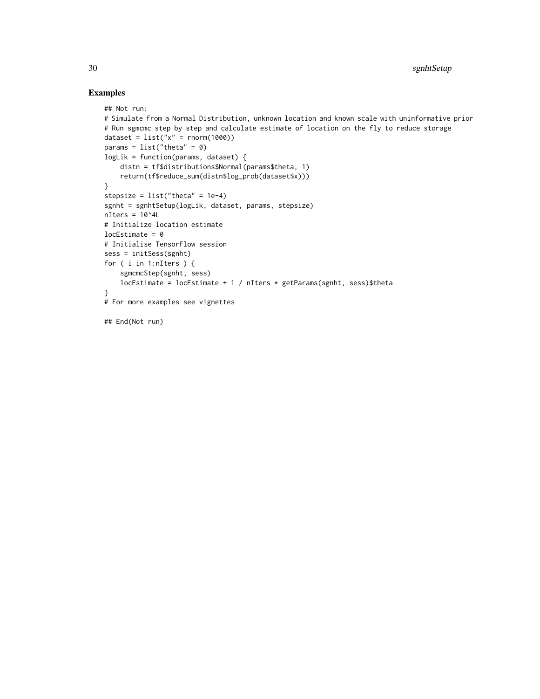```
## Not run:
# Simulate from a Normal Distribution, unknown location and known scale with uninformative prior
# Run sgmcmc step by step and calculate estimate of location on the fly to reduce storage
dataset = list("x" = rnorm(1000))params = list("theta" = 0)logLik = function(params, dataset) {
   distn = tf$distributions$Normal(params$theta, 1)
   return(tf$reduce_sum(distn$log_prob(dataset$x)))
}
stepsize = list("theta" = 1e-4)
sgnht = sgnhtSetup(logLik, dataset, params, stepsize)
nIters = 10^44L# Initialize location estimate
locEstimate = 0# Initialise TensorFlow session
sess = initSess(sgnht)
for ( i in 1:nIters ) {
    sgmcmcStep(sgnht, sess)
   locEstimate = locEstimate + 1 / nIters * getParams(sgnht, sess)$theta
}
# For more examples see vignettes
## End(Not run)
```